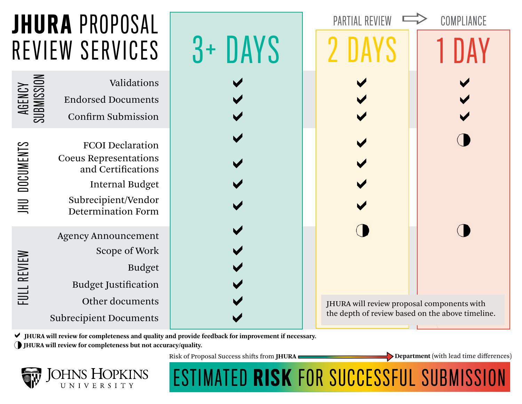# **JHURA PROPOSAL** REVIEW SERVICES

**AGENCY** 

JHU DOCUMENTS

IHU DOCUMENTS

FULL REVIEW

| $\leq$<br>ပ                   | Validations               |  |  |  |
|-------------------------------|---------------------------|--|--|--|
| $\frac{1}{2}$                 | <b>Endorsed Documents</b> |  |  |  |
| $\mathbf{r}$<br>$\equiv$<br>ج | <b>Confirm Submission</b> |  |  |  |

Internal Budget

Agency Announcement Scope of Work **Budget** Budget Justification a Other documents

Subrecipient Documents a

Confirm Submission  $\begin{array}{|c|c|c|c|c|c|}\n\hline\n\end{array}$ FCOI Declaration a a Coeus Representations and Certifications a a Subrecipient/Vendor **View Constant Constant** Optermination Form **View Constant Optermination Form** 

ESTIMATED RISK FOR SUCCESSFUL SUBMISSION

3 + DAYS 1 2 DAYS

JHURA will review proposal components with the depth of review based on the above timeline.

PARTIAL REVIEW  $\implies$  compliance

◆ JHURA will review for completeness and quality and provide feedback for improvement if necessary.

**JHURA will review for completeness but not accuracy/quality.**